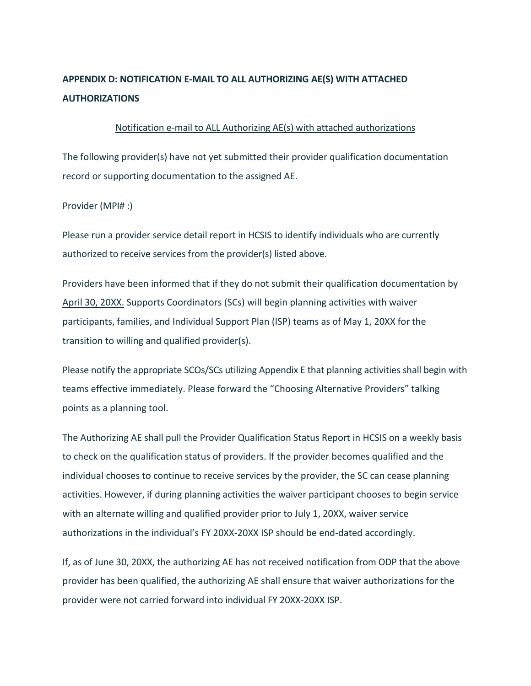## **APPENDIX D: NOTIFICATION E-MAIL TO ALL AUTHORIZING AE(S) WITH ATTACHED AUTHORIZATIONS**

## Notification e-mail to ALL Authorizing AE(s) with attached authorizations

The following provider(s) have not yet submitted their provider qualification documentation record or supporting documentation to the assigned AE.

## Provider (MPI# :)

Please run a provider service detail report in HCSIS to identify individuals who are currently authorized to receive services from the provider(s) listed above.

Providers have been informed that if they do not submit their qualification documentation by April 30, 20XX. Supports Coordinators (SCs) will begin planning activities with waiver participants, families, and Individual Support Plan (ISP) teams as of May 1, 20XX for the transition to willing and qualified provider(s).

Please notify the appropriate SCOs/SCs utilizing Appendix E that planning activities shall begin with teams effective immediately. Please forward the "Choosing Alternative Providers" talking points as a planning tool.

The Authorizing AE shall pull the Provider Qualification Status Report in HCSIS on a weekly basis to check on the qualification status of providers. If the provider becomes qualified and the individual chooses to continue to receive services by the provider, the SC can cease planning activities. However, if during planning activities the waiver participant chooses to begin service with an alternate willing and qualified provider prior to July 1, 20XX, waiver service authorizations in the individual's FY 20XX-20XX ISP should be end-dated accordingly.

If, as of June 30, 20XX, the authorizing AE has not received notification from ODP that the above provider has been qualified, the authorizing AE shall ensure that waiver authorizations for the provider were not carried forward into individual FY 20XX-20XX ISP.